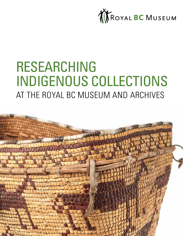

# RESEARCHING INDIGENOUS COLLECTIONS AT THE ROYAL BC MUSEUM AND ARCHIVES

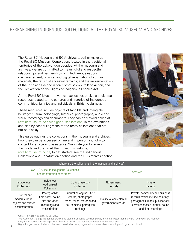# RESEARCHING INDIGENOUS COLLECTIONS AT THE ROYAL BC MUSEUM AND ARCHIVES

The Royal BC Museum and BC Archives together make up the Royal BC Museum Corporation, located in the traditional territories of the Lekwungen peoples. At the museum and archives, we are committed to meaningful and respectful relationships and partnerships with Indigenous nations; co-management, physical and digital repatriation of cultural materials; the return of ancestral remains; and the implementation of the Truth and Reconciliation Commission's Calls to Action, and the Declaration on the Rights of Indigenous Peoples Act.

At the Royal BC Museum, you can access extensive and diverse resources related to the cultures and histories of Indigenous communities, families and individuals in British Columbia.

These resources include objects of tangible and intangible heritage: cultural belongings, historical photographs, audio and visual recordings and documents. They can be viewed online at royalbcmuseum.bc.ca/indigenouscollections, in the exhibitions and also by scheduling visits to the many collections that are not on display.

This guide outlines the collections in the museum and archives, how they can be accessed online and in person and who to contact for advice and assistance. We invite you to review this guide and then visit the museum's website, royalbcmuseum.bc.ca, to get started (see the Indigenous Collections and Repatriation section and the BC Archives section).



| Where are the collections in the museum and archives?                        |                                                                                           |                                                                                                                          |                                               |                                                                                                                                                                   |
|------------------------------------------------------------------------------|-------------------------------------------------------------------------------------------|--------------------------------------------------------------------------------------------------------------------------|-----------------------------------------------|-------------------------------------------------------------------------------------------------------------------------------------------------------------------|
| <b>Royal BC Museum Indigenous Collections</b><br>and Repatriation department |                                                                                           |                                                                                                                          | <b>BC</b> Archives                            |                                                                                                                                                                   |
| Indigenous<br>Collections                                                    | Indigenous<br>Audiovisual<br>Collection                                                   | <b>BC</b> Archaeology<br>Collection                                                                                      | Government<br>Records                         | Private<br>Records                                                                                                                                                |
| Historical and<br>modern cultural<br>objects and related<br>documentation    | Photographs;<br>field notes; sound,<br>film and video<br>recordings and<br>transcriptions | Cultural belongings; field<br>records, photographs,<br>maps, faunal material and<br>soil samples, petroglyph<br>rubbings | Provincial and colonial<br>government records | Private, community and business<br>records, which include paintings,<br>photographs, maps, publications,<br>correspondence, diaries, sound<br>and film recordings |

Cover: Tsilhqot'in basket, RBCM 2800

Top: Camosun College Indigenous studio arts student Christine LaVallee (*right*), instructor Peter Morin (*centre*), and Royal BC Museum Indigenous collections manager Brian Seymour (*left*) in the Indigenous collections research area.

Right: Indigenous audiovisual collection photo index cards, organized in drawers by cultural linguistic group and location.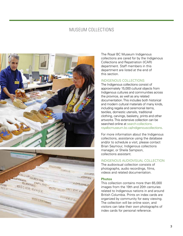# MUSEUM COLLECTIONS





The Royal BC Museum Indigenous collections are cared for by the Indigenous Collections and Repatriation (ICAR) department. Staff members in this department are listed at the end of this section.

### INDIGENOUS COLLECTIONS

The Indigenous collections consist of approximately 15,000 cultural objects from Indigenous cultures and communities across the province, as well as any related documentation. This includes both historical and modern cultural materials of many kinds, including regalia and ceremonial items, textiles, domestic utensils, traditional clothing, carvings, basketry, prints and other artworks. This extensive collection can be searched online at search-collections. royalbcmuseum.bc.ca/indigenouscollections.

For more information about the Indigenous collections, assistance using the database and/or to schedule a visit, please contact Brian Seymour, Indigenous collections manager, or Sheila Sampson, collections assistant.

## INDIGENOUS AUDIOVISUAL COLLECTION

The audiovisual collection consists of photographs, audio recordings, films, videos and related documentation.

#### **Photos**

This collection contains more than 65,000 images from the 19th and 20th centuries related to Indigenous nations in and around British Columbia. Prints on index cards are organized by community for easy viewing. The collection will be online soon, and visitors can take their own photographs of index cards for personal reference.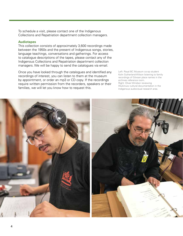To schedule a visit, please contact one of the Indigenous Collections and Repatriation department collection managers.

#### **Audiotapes**

This collection consists of approximately 3,600 recordings made between the 1950s and the present of Indigenous songs, stories, language teachings, conversations and gatherings. For access to catalogue descriptions of the tapes, please contact any of the Indigenous Collections and Repatriation department collection managers. We will be happy to send the catalogues via email.

Once you have looked through the catalogues and identified any recordings of interest, you can listen to them at the museum by appointment, or order an mp3 or CD copy. If the recordings require written permission from the recorders, speakers or their families, we will let you know how to request this.

Left: Royal BC Museum co-op student Kolin Sutherland-Wilson listening to family recordings of Gitxsan place names in the archives reference room. Right: Oliver Windsor reviewing Wuikinuxv cultural documentation in the Indigenous audiovisual research area.

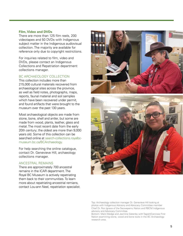#### **Film, Video and DVDs**

There are more than 125 film reels, 200 videotapes and 50 DVDs with Indigenous subject matter in the Indigenous audiovisual collection. The majority are available for reference only due to copyright restrictions.

For inquiries related to film, video and DVDs, please contact an Indigenous Collections and Repatriation department collections manager.

## BC ARCHAEOLOGY COLLECTION

This collection includes more than 215,000 cultural materials recovered from archaeological sites across the province, as well as field notes, photographs, maps, reports, faunal material and soil samples which have been recovered under permit, and found artifacts that were brought to the museum over the past 130 years.

Most archaeological objects are made from stone, bone, shell and antler, but some are made from wood, plants, leather, glass and metal. The most recent date from the early 20th century; the oldest are more than 9,000 years old. Some of this collection can be searched online at search-collections.royalbcmuseum.bc.ca/BCArchaeology.

For help searching the online catalogue, contact Dr. Genevieve Hill, archaeology collections manager.

#### ANCESTRAL REMAINS

There are approximately 700 ancestral remains in the ICAR department. The Royal BC Museum is actively repatriating them back to their communities. To learn more about repatriating ancestrial remians, contact Lou-ann Neel, repatriation specialist.





Top: Archaeology collection manager Dr. Genevieve Hill looking at photos with Indigenous Advisory and Advocacy Committee member Chief Dr. Ron Ignace of the Secwepemc Nation and RBCM Indigenous advisory and Advocacy Committee.

Bottom: Mark Wedge and Jasmine Gatenby with Tagish/Carcross First Nation examining stone, wood and bone tools in the BC Archaeology research area.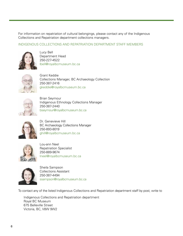For information on repatriation of cultural belongings, please contact any of the Indigenous Collections and Repatriation department collections managers.

# INDIGENOUS COLLECTIONS AND REPATRIATION DEPARTMENT STAFF MEMBERS



Lucy Bell Department Head 250-227-4522 lbell@royalbcmuseum.bc.ca



Grant Keddie Collections Manager, BC Archaeology Collection 250-387-2416 gkeddie@royalbcmuseum.bc.ca



Brian Seymour Indigenous Ethnology Collections Manager 250-387-2440 bseymour@royalbcmuseum.bc.ca



Dr. Genevieve Hill BC Archaeology Collections Manager 250-893-8019 ghill@royalbcmuseum.bc.ca



Lou-ann Neel Repatriation Specialist 250-889-9674 lneel@royalbcmuseum.bc.ca



Sheila Sampson Collections Assistant 250-387-4494 ssampson@royalbcmuseum.bc.ca

To contact any of the listed Indigenous Collections and Repatriation department staff by post, write to

Indigenous Collections and Repatriation department Royal BC Museum 675 Belleville Street Victoria, BC, V8W 9W2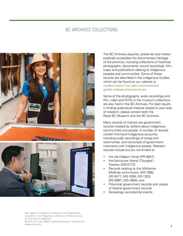# BC ARCHIVES COLLECTIONS



Top: Head of Indigenous Collections and Repatriation Lucy Bell in the Indigenous collections. Photo courtesy of UVic Alumni Relations. Bottom: Dr. Evan Adams viewing records in the Archives reference room.

The BC Archives acquires, preserves and makes publically accessible the documentary heritage of the province, including collections of historical photographs, documents, sound recordings, film, maps and publications relating to Indigenous peoples and communities. Some of these records are described in the Indigenous Guides, which can be found on our website at royalbcmuseum.bc.ca/bc-archives/tools/ guides-indexes-and-inventories.

Some of the photographs, audio recordings and film, video and DVDs in the museum collections are also held in the BC Archives. For best results in finding audiovisual material related to your area of research, please contact both the Royal BC Museum and the BC Archives.

Many records of interest are government records created by settlers about Indigenous communities and people. A number of records contain first-hand Indigenous accounts, including audio recordings of songs and ceremonies, and transcripts of government interviews with Indigenous people. Relevant records include but are not limited to:

- the Ida Halpern fonds (PR-0847)
- the Vancouver Island ('Douglas') Treaties (MS-0772)
- Records relating to the McKenna-McBride commission (GR-1995; GR-3477; MS-1056; GR-1303; MS-0997; MS-1664); and
- Provincial government records and copies of federal government records
- Genealogy records/vital events